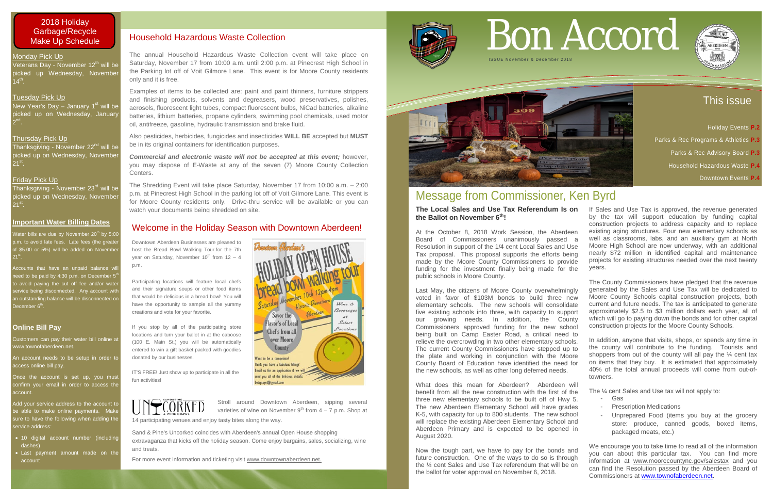14 participating venues and enjoy tasty bites along the way.

Sand & Pine's Uncorked coincides with Aberdeen's annual Open House shopping extravaganza that kicks off the holiday season. Come enjoy bargains, sales, socializing, wine and treats.

For more event information and ticketing visit [www.downtownaberdeen.net.](http://www.downtownaberdeen.net/)



## This issue

- Holiday Events **P.2**  Parks & Rec Programs & Athletics **P.3** 
	- Parks & Rec Advisory Board **P.3**
	- Household Hazardous Waste **P.4**
		- Downtown Events **P.4**

#### Tuesday Pick Up

New Year's Day – January  $1<sup>st</sup>$  will be picked up on Wednesday, January  $2^{nd}$ .

#### Thursday Pick Up

Thanksgiving - November 22<sup>nd</sup> will be picked up on Wednesday, November  $21^{st}$ .

An account needs to be setup in order to access online bill pay.

Once the account is set up, you must confirm your email in order to access the account.

#### Friday Pick Up

Thanksgiving - November 23<sup>rd</sup> will be picked up on Wednesday, November  $21^{st}$ .

Add your service address to the account to be able to make online payments. Make sure to have the following when adding the service address:

#### **Important Water Billing Dates**

Water bills are due by November 20<sup>th</sup> by 5:00 o.m. to avoid late fees. Late fees (the greater of \$5.00 or 5%) will be added on Novembe  $21^{st}$ 

Accounts that have an unpaid balance wi need to be paid by 4:30 p.m. on December  $5^t$ o avoid paying the cut off fee and/or wate service being disconnected. Any account with an outstanding balance will be disconnected on December 6<sup>th</sup>.

#### **Online Bill Pay**

Customers can pay their water bill online at www.townofaberdeen.net.

- 10 digital account number (including dashes)
- Last payment amount made on the account

# Bon Accord



# Message from Commissioner, Ken Byrd

**The Local Sales and Use Tax Referendum Is on the Ballot on November 6th!** At the October 8, 2018 Work Session, the Aberdeen Board of Commissioners unanimously passed a Resolution in support of the 1/4 cent Local Sales and Use Tax proposal. This proposal supports the efforts being made by the Moore County Commissioners to provide funding for the investment finally being made for the public schools in Moore County.

Last May, the citizens of Moore County overwhelmingly voted in favor of \$103M bonds to build three new elementary schools. The new schools will consolidate five existing schools into three, with capacity to support our growing needs. In addition, the County Commissioners approved funding for the new school being built on Camp Easter Road, a critical need to relieve the overcrowding in two other elementary schools. The current County Commissioners have stepped up to the plate and working in conjunction with the Moore County Board of Education have identified the need for the new schools, as well as other long deferred needs. The County Commissioners have pledged that the revenue generated by the Sales and Use Tax will be dedicated to Moore County Schools capital construction projects, both current and future needs. The tax is anticipated to generate approximately \$2.5 to \$3 million dollars each year, all of which will go to paying down the bonds and for other capital construction projects for the Moore County Schools. In addition, anyone that visits, shops, or spends any time in the county will contribute to the funding. Tourists and shoppers from out of the county will all pay the  $\frac{1}{4}$  cent tax on items that they buy. It is estimated that approximately 40% of the total annual proceeds will come from out-oftowners.

If Sales and Use Tax is approved, the revenue generated by the tax will support education by funding capital construction projects to address capacity and to replace existing aging structures. Four new elementary schools as well as classrooms, labs, and an auxiliary gym at North Moore High School are now underway, with an additional nearly \$72 million in identified capital and maintenance projects for existing structures needed over the next twenty years.

What does this mean for Aberdeen? Aberdeen will benefit from all the new construction with the first of the three new elementary schools to be built off of Hwy 5. The new Aberdeen Elementary School will have grades K-5, with capacity for up to 800 students. The new school will replace the existing Aberdeen Elementary School and Aberdeen Primary and is expected to be opened in August 2020. The ¼ cent Sales and Use tax will not apply to: - Gas - Prescription Medications packaged meats, etc.)

Now the tough part, we have to pay for the bonds and future construction. One of the ways to do so is through the ¼ cent Sales and Use Tax referendum that will be on the ballot for voter approval on November 6, 2018. We encourage you to take time to read all of the information you can about this particular tax. You can find more information at [www.moorecountync.gov/salestax](http://www.moorecountync.gov/salestax) and you can find the Resolution passed by the Aberdeen Board of Commissioners at [www.townofaberdeen.net.](http://www.townofaberdeen.net/)



- 
- 
- Unprepared Food (items you buy at the grocery store: produce, canned goods, boxed items,

# ISSUE November & December 201 8



#### 2018 Holiday Garbage/Recycle Make Up Schedule

#### Monday Pick Up

Veterans Day - November 12<sup>th</sup> will be picked up Wednesday, Novembe  $14^{\text{th}}$ .

## Welcome in the Holiday Season with Downtown Aberdeen!

### Household Hazardous Waste Collection

The annual Household Hazardous Waste Collection event will take place on Saturday, November 17 from 10:00 a.m. until 2:00 p.m. at Pinecrest High School in the Parking lot off of Voit Gilmore Lane. This event is for Moore County residents only and it is free.

Examples of items to be collected are: paint and paint thinners, furniture strippers and finishing products, solvents and degreasers, wood preservatives, polishes, aerosols, fluorescent light tubes, compact fluorescent bulbs, NiCad batteries, alkaline batteries, lithium batteries, propane cylinders, swimming pool chemicals, used motor oil, antifreeze, gasoline, hydraulic transmission and brake fluid.

Also pesticides, herbicides, fungicides and insecticides **WILL BE** accepted but **MUST** be in its original containers for identification purposes.

*Commercial and electronic waste will not be accepted at this event;* however, you may dispose of E-Waste at any of the seven (7) Moore County Collection Centers.

The Shredding Event will take place Saturday, November 17 from 10:00 a.m. – 2:00 p.m. at Pinecrest High School in the parking lot off of Voit Gilmore Lane. This event is for Moore County residents only. Drive-thru service will be available or you can watch your documents being shredded on site.

Downtown Aberdeen Businesses are pleased to host the Bread Bowl Walking Tour for the 7th year on Saturday, November  $10^{th}$  from  $12 - 4$ p.m.

Participating locations will feature local chefs and their signature soups or other food items that would be delicious in a bread bowl! You will have the opportunity to sample all the yummy creations and vote for your favorite.

If you stop by all of the participating store locations and turn your ballot in at the caboose (100 E. Main St.) you will be automatically entered to win a gift basket packed with goodies donated by our businesses.

IT'S FREE! Just show up to participate in all the fun activities!



 $\widetilde{\mathrm{CORNED}}$  Stroll around Downtown Aberdeen, sipping several stroll around Downtown Aberdeen, sipping several varieties of wine on November  $9<sup>th</sup>$  from  $4 - 7$  p.m. Shop at